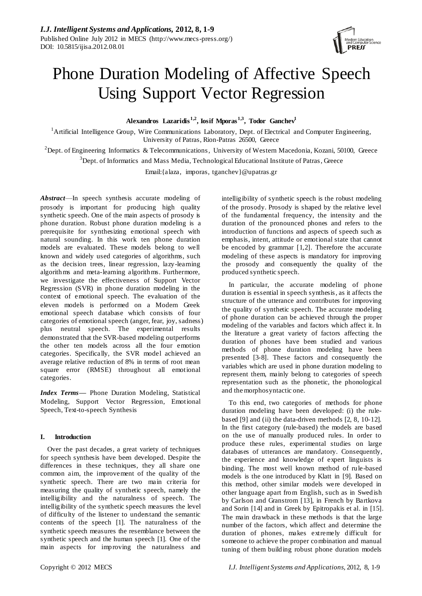

# Phone Duration Modeling of Affective Speech Using Support Vector Regression

**Alexandros Lazaridis 1,2, Iosif Mporas1,3 , Todor Ganchev<sup>1</sup>**

<sup>1</sup>Artificial Intelligence Group, Wire Communications Laboratory, Dept. of Electrical and Computer Engineering, University of Patras, Rion-Patras 26500, Greece

<sup>2</sup>Dept. of Engineering Informatics & Telecommunications, University of Western Macedonia, Kozani, 50100, Greece <sup>3</sup>Dept. of Informatics and Mass Media, Technological Educational Institute of Patras, Greece

Email:{alaza, imporas, tganchev}@upatras.gr

*Abstract*—In speech synthesis accurate modeling of prosody is important for producing high quality synthetic speech. One of the main aspects of prosody is phone duration. Robust phone duration modeling is a prerequisite for synthesizing emotional speech with natural sounding. In this work ten phone duration models are evaluated. These models belong to well known and widely used categories of algorithms, such as the decision trees, linear regression, lazy-learning algorithms and meta-learning algorithms. Furthermore, we investigate the effectiveness of Support Vector Regression (SVR) in phone duration modeling in the context of emotional speech. The evaluation of the eleven models is performed on a Modern Greek emotional speech database which consists of four categories of emotional speech (anger, fear, joy, sadness) plus neutral speech. The experimental results demonstrated that the SVR-based modeling outperforms the other ten models across all the four emotion categories. Specifically, the SVR model achieved an average relative reduction of 8% in terms of root mean square error (RMSE) throughout all emotional categories.

*Index Terms***—** Phone Duration Modeling, Statistical Modeling, Support Vector Regression, Emotional Speech, Text-to-speech Synthesis

# **I. Introduction**

Over the past decades, a great variety of techniques for speech synthesis have been developed. Despite the differences in these techniques, they all share one common aim, the improvement of the quality of the synthetic speech. There are two main criteria for measuring the quality of synthetic speech, namely the intelligibility and the naturalness of speech. The intelligibility of the synthetic speech measures the level of difficulty of the listener to understand the semantic contents of the speech [1]. The naturalness of the synthetic speech measures the resemblance between the synthetic speech and the human speech [1]. One of the main aspects for improving the naturalness and

intelligibility of synthetic speech is the robust modeling of the prosody. Prosody is shaped by the relative level of the fundamental frequency, the intensity and the duration of the pronounced phones and refers to the introduction of functions and aspects of speech such as emphasis, intent, attitude or emotional state that cannot be encoded by grammar [1,2]. Therefore the accurate modeling of these aspects is mandatory for improving the prosody and consequently the quality of the produced synthetic speech.

In particular, the accurate modeling of phone duration is essential in speech synthesis, as it affects the structure of the utterance and contributes for improving the quality of synthetic speech. The accurate modeling of phone duration can be achieved through the proper modeling of the variables and factors which affect it. In the literature a great variety of factors affecting the duration of phones have been studied and various methods of phone duration modeling have been presented [3-8]. These factors and consequently the variables which are used in phone duration modeling to represent them, mainly belong to categories of speech representation such as the phonetic, the phonological and the morphosyntactic one.

To this end, two categories of methods for phone duration modeling have been developed: (i) the rulebased [9] and (ii) the data-driven methods [2, 8, 10-12]. In the first category (rule-based) the models are based on the use of manually produced rules. In order to produce these rules, experimental studies on large databases of utterances are mandatory. Consequently, the experience and knowledge of expert linguists is binding. The most well known method of rule-based models is the one introduced by Klatt in [9]. Based on this method, other similar models were developed in other language apart from English, such as in Swedish by Carlson and Granstrom [13], in French by Bartkova and Sorin [14] and in Greek by Epitropakis et al. in [15]. The main drawback in these methods is that the large number of the factors, which affect and determine the duration of phones, makes extremely difficult for someone to achieve the proper combination and manual tuning of them building robust phone duration models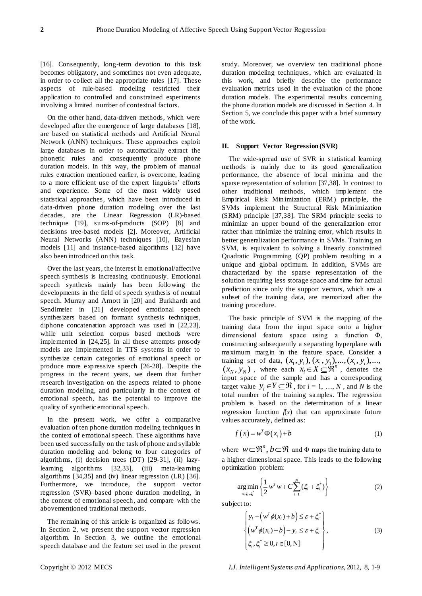[16]. Consequently, long-term devotion to this task becomes obligatory, and sometimes not even adequate, in order to collect all the appropriate rules [17]. These aspects of rule-based modeling restricted their application to controlled and constrained experiments involving a limited number of contextual factors.

On the other hand, data-driven methods, which were developed after the emergence of large databases [18], are based on statistical methods and Artificial Neural Network (ANN) techniques. These approaches exploit large databases in order to automatically extract the phonetic rules and consequently produce phone duration models. In this way, the problem of manual rules extraction mentioned earlier, is overcome, leading to a more efficient use of the expert linguists' efforts and experience. Some of the most widely used statistical approaches, which have been introduced in data-driven phone duration modeling over the last decades, are the Linear Regression (LR)-based technique [19], sums-of-products (SOP) [8] and decisions tree-based models [2]. Moreover, Artificial Neural Networks (ANN) techniques [10], Bayesian models [11] and instance-based algorithms [12] have also been introduced on this task.

Over the last years, the interest in emotional/affective speech synthesis is increasing continuously. Emotional speech synthesis mainly has been following the developments in the field of speech synthesis of neutral speech. Murray and Arnott in [20] and Burkhardt and Sendlmeier in [21] developed emotional speech synthesizers based on formant synthesis techniques, diphone concatenation approach was used in [22,23], while unit selection corpus based methods were implemented in [24,25]. In all these attempts prosody models are implemented in TTS systems in order to synthesize certain categories of emotional speech or produce more expressive speech [26-28]. Despite the progress in the recent years, we deem that further research investigation on the aspects related to phone duration modeling, and particularly in the context of emotional speech, has the potential to improve the quality of synthetic emotional speech.

In the present work, we offer a comparative evaluation of ten phone duration modeling techniques in the context of emotional speech. These algorithms have been used successfully on the task of phone and syllable duration modeling and belong to four categories of algorithms, (i) decision trees (DT) [29-31], (ii) lazylearning algorithms [32,33], (iii) meta-learning algorithms [34,35] and (iv) linear regression (LR) [36]. Furthermore, we introduce, the support vector regression (SVR)–based phone duration modeling, in the context of emotional speech, and compare with the abovementioned traditional methods.

The remaining of this article is organized as follows. In Section 2, we present the support vector regression algorithm. In Section 3, we outline the emotional speech database and the feature set used in the present

study. Moreover, we overview ten traditional phone duration modeling techniques, which are evaluated in this work, and briefly describe the performance evaluation metrics used in the evaluation of the phone duration models. The experimental results concerning the phone duration models are discussed in Section 4. In Section 5, we conclude this paper with a brief summary of the work.

## **II. Support Vector Regression (SVR)**

The wide-spread use of SVR in statistical learning methods is mainly due to its good generalization performance, the absence of local minima and the sparse representation of solution [37,38]. In contrast to other traditional methods, which implement the Empirical Risk Minimization (ERM) principle, the SVMs implement the Structural Risk Minimization (SRM) principle [37,38]. The SRM principle seeks to minimize an upper bound of the generalization error rather than minimize the training error, which results in better generalization performance in SVMs. Training an SVM, is equivalent to solving a linearly constrained Quadratic Programming (QP) problem resulting in a unique and global optimum. In addition, SVMs are characterized by the sparse representation of the solution requiring less storage space and time for actual prediction since only the support vectors, which are a subset of the training data, are memorized after the training procedure.

The basic principle of SVM is the mapping of the training data from the input space onto a higher dimensional feature space using a function Φ, constructing subsequently a separating hyperplane with maximum margin in the feature space. Consider a training set of data,  $(x_1, y_1), (x_1, y_1), ..., (x_i, y_i), ...,$ maximum margin in the feature space. Consider a<br>training set of data,  $(x_1, y_1), (x_1, y_1), ..., (x_i, y_i), ...,$ <br> $(x_N, y_N)$ , where each  $x_i \in X \subseteq \mathbb{R}^n$ , denotes the  $x_i \in X \subseteq \mathbb{R}^n$ , denotes the input space of the sample and has a corresponding target value  $y_i \in Y \subseteq \mathfrak{R}$ , for  $i = 1, ..., N$ , and *N* is the total number of the training samples. The regression problem is based on the determination of a linear regression function  $f(x)$  that can approximate future values accurately, defined as:

$$
f(x) = w^T \Phi(x_i) + b \tag{1}
$$

where  $w \subset \mathbb{R}^n$ ,  $b \subset \mathbb{R}$  and  $\Phi$  maps the training data to a higher dimensional space. This leads to the following optimization problem:

$$
\underset{w_{i,\xi_{i},\xi_{i}}^{w}}{\arg\min} \left\{ \frac{1}{2} w^{T} w + C \sum_{i=1}^{N} (\xi_{i} + \xi_{i}^{*}) \right\}
$$
(2)

subject to:

$$
\begin{cases}\ny_i - \left(w^T \phi(x_i) + b\right) \le \varepsilon + \xi_i^* \\
\left(w^T \phi(x_i) + b\right) - y_i \le \varepsilon + \xi_i \\
\xi_i, \xi_i^* \ge 0, i \in [0, N]\n\end{cases}
$$
\n(3)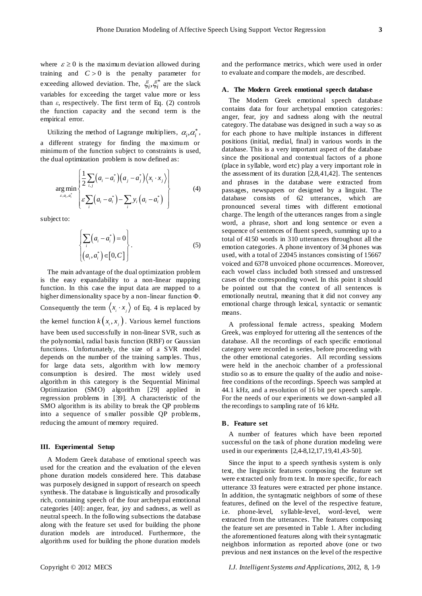where  $\varepsilon \ge 0$  is the maximum deviation allowed during training and  $C > 0$  is the penalty parameter for exceeding allowed deviation. The,  $\zeta_i, \zeta_i^*$  are the slack variables for exceeding the target value more or less than *ε*, respectively. The first term of Eq. (2) controls the function capacity and the second term is the empirical error.

Utilizing the method of Lagrange multipliers,  $\alpha_i, \alpha_i^*$ , a different strategy for finding the maximum or minimum of the function subject to constraints is used, the dual optimization problem is now defined as:

$$
\arg\min_{\varepsilon, a_i, a_i^*} \left\{ \frac{1}{2} \sum_{i,j} (a_i - a_i^*) (a_j - a_j^*) \langle x_i \cdot x_j \rangle \right\} \qquad (4)
$$

subject to:

$$
\begin{cases} \sum_{i} (a_i - a_i^*) = 0 \\ (a_i, a_i^*) \in [0, C] \end{cases} .
$$
 (5)

The main advantage of the dual optimization problem is the easy expandability to a non-linear mapping function. In this case the input data are mapped to a higher dimensionality space by a non-linear function Φ. Consequently the term  $\langle x_i \cdot x_j \rangle$  of Eq. 4 is replaced by the kernel function  $k(x_i, x_j)$ . Various kernel functions have been used successfully in non-linear SVR, such as the polynomial, radial basis function (RBF) or Gaussian functions. Unfortunately, the size of a SVR model depends on the number of the training samples. Thus, for large data sets, algorithm with low memory consumption is desired. The most widely used algorithm in this category is the Sequential Minimal Optimization (SMO) algorithm [29] applied in regression problems in [39]. A characteristic of the SMO algorithm is its ability to break the QP problems into a sequence of s maller possible QP problems, reducing the amount of memory required.

#### **III. Experimental Setup**

A Modern Greek database of emotional speech was used for the creation and the evaluation of the eleven phone duration models considered here. This database was purposely designed in support of research on speech synthesis. The database is linguistically and prosodically rich, containing speech of the four archetypal emotional categories [40]: anger, fear, joy and sadness, as well as neutral speech. In the following subsections the database along with the feature set used for building the phone duration models are introduced. Furthermore, the algorithms used for building the phone duration models

and the performance metrics, which were used in order to evaluate and compare the models, are described.

# **A**.**The Modern Greek emotional speech database**

The Modern Greek emotional speech database contains data for four archetypal emotion categories: anger, fear, joy and sadness along with the neutral category. The database was designed in such a way so as for each phone to have multiple instances in different positions (initial, medial, final) in various words in the database. This is a very important aspect of the database since the positional and contextual factors of a phone (place in syllable, word etc) play a very important role in the assessment of its duration [2,8,41,42]. The sentences and phrases in the database were extracted from passages, newspapers or designed by a linguist. The database consists of 62 utterances, which are pronounced several times with different emotional charge. The length of the utterances ranges from a single word, a phrase, short and long sentence or even a sequence of sentences of fluent speech, summing up to a total of 4150 words in 310 utterances throughout all the emotion categories. A phone inventory of 34 phones was used, with a total of 22045 instances consisting of 15667 voiced and 6378 unvoiced phone occurrences. Moreover, each vowel class included both stressed and unstressed cases of the corresponding vowel. In this point it should be pointed out that the context of all sentences is emotionally neutral, meaning that it did not convey any emotional charge through lexical, syntactic or semantic means.

A professional female actress, speaking Modern Greek, was employed for uttering all the sentences of the database. All the recordings of each specific emotional category were recorded in series, before proceeding with the other emotional categories. All recording sessions were held in the anechoic chamber of a professional studio so as to ensure the quality of the audio and noisefree conditions of the recordings. Speech was sampled at 44.1 kHz, and a resolution of 16 bit per speech sample. For the needs of our experiments we down-sampled all the recordings to sampling rate of 16 kHz.

# **B**.**Feature set**

A number of features which have been reported successful on the task of phone duration modeling were used in our experiments [2,4-8,12,17,19,41,43-50].

Since the input to a speech synthesis system is only text, the linguistic features composing the feature set were extracted only from text. In more specific, for each utterance 33 features were extracted per phone instance. In addition, the syntagmatic neighbors of some of these features, defined on the level of the respective feature, i.e. phone-level, syllable-level, word-level, were extracted from the utterances. The features composing the feature set are presented in Table 1. After including the aforementioned features along with their syntagmatic neighbors information as reported above (one or two previous and next instances on the level of the respective

Copyright © 2012 MECS *I.J. Intelligent Systems and Applications,* 2012, 8, 1-9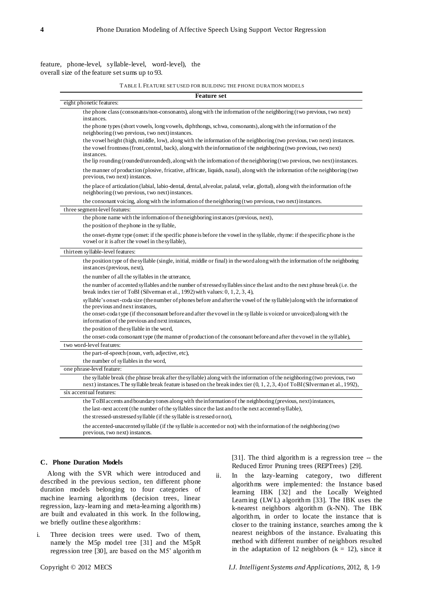feature, phone-level, syllable-level, word-level), the overall size of the feature set sums up to 93.

TABLE I. FEATURE SET USED FOR BUILDING THE PHONE DURATION MODELS

| <b>Feature set</b>                                                                                                                                                                                                                                            |  |  |  |  |  |  |
|---------------------------------------------------------------------------------------------------------------------------------------------------------------------------------------------------------------------------------------------------------------|--|--|--|--|--|--|
| eight phonetic features:                                                                                                                                                                                                                                      |  |  |  |  |  |  |
| the phone class (consonants/non-consonants), along with the information of the neighboring (two previous, two next)<br>instances.                                                                                                                             |  |  |  |  |  |  |
| the phone types (short vowels, long vowels, diphthongs, schwa, consonants), along with the information of the<br>neighboring (two previous, two next) instances.                                                                                              |  |  |  |  |  |  |
| the vowel height (high, middle, low), along with the information of the neighboring (two previous, two next) instances.                                                                                                                                       |  |  |  |  |  |  |
| the vowel frontness (front, central, back), along with the information of the neighboring (two previous, two next)<br>instances.                                                                                                                              |  |  |  |  |  |  |
| the lip rounding (rounded/unrounded), along with the information of the neighboring (two previous, two next) instances.                                                                                                                                       |  |  |  |  |  |  |
| the manner of production (plosive, fricative, affricate, liquids, nasal), along with the information of the neighboring (two<br>previous, two next) instances.                                                                                                |  |  |  |  |  |  |
| the place of articulation (labial, labio-dental, dental, alveolar, palatal, velar, glottal), along with the information of the<br>neighboring (two previous, two next) instances.                                                                             |  |  |  |  |  |  |
| the consonant voicing, along with the information of the neighboring (two previous, two next) instances.                                                                                                                                                      |  |  |  |  |  |  |
| three segment-level features:                                                                                                                                                                                                                                 |  |  |  |  |  |  |
| the phone name with the information of the neighboring instances (previous, next),                                                                                                                                                                            |  |  |  |  |  |  |
| the position of the phone in the syllable,                                                                                                                                                                                                                    |  |  |  |  |  |  |
| the onset-rhyme type (onset: if the specific phone is before the vowel in the syllable, rhyme: if the specific phone is the<br>vowel or it is after the vowel in the syllable),                                                                               |  |  |  |  |  |  |
| thirteen syllable-level features:                                                                                                                                                                                                                             |  |  |  |  |  |  |
| the position type of the syllable (single, initial, middle or final) in the word along with the information of the neighboring<br>instances (previous, next),                                                                                                 |  |  |  |  |  |  |
| the number of all the syllables in the utterance,                                                                                                                                                                                                             |  |  |  |  |  |  |
| the number of accented syllables and the number of stressed syllables since the last and to the next phrase break (i.e. the<br>break index tier of ToBI (Silverman et al., 1992) with values: $0, 1, 2, 3, 4$ ),                                              |  |  |  |  |  |  |
| syllable's onset-coda size (the number of phones before and after the vowel of the syllable) along with the information of<br>the previous and next instances,                                                                                                |  |  |  |  |  |  |
| the onset-coda type (if the consonant before and after the vowel in the syllable is voiced or unvoiced) along with the<br>information of the previous and next instances,                                                                                     |  |  |  |  |  |  |
| the position of the syllable in the word,                                                                                                                                                                                                                     |  |  |  |  |  |  |
| the onset-coda consonant type (the manner of production of the consonant before and after the vowel in the syllable),                                                                                                                                         |  |  |  |  |  |  |
| two word-level features:                                                                                                                                                                                                                                      |  |  |  |  |  |  |
| the part-of-speech (noun, verb, adjective, etc),                                                                                                                                                                                                              |  |  |  |  |  |  |
| the number of syllables in the word,                                                                                                                                                                                                                          |  |  |  |  |  |  |
| one phrase-level feature:                                                                                                                                                                                                                                     |  |  |  |  |  |  |
| the syllable break (the phrase break after the syllable) along with the information of the neighboring (two previous, two<br>next) instances. The syllable break feature is based on the break index tier $(0, 1, 2, 3, 4)$ of ToBI (Silverman et al., 1992), |  |  |  |  |  |  |
| six accentual features:                                                                                                                                                                                                                                       |  |  |  |  |  |  |
| the ToBI accents and boundary tones along with the information of the neighboring (previous, next) instances,                                                                                                                                                 |  |  |  |  |  |  |
| the last-next accent (the number of the syllables since the last and to the next accented syllable),                                                                                                                                                          |  |  |  |  |  |  |
| the stressed-unstressed syllable (if the syllable is stressed or not),                                                                                                                                                                                        |  |  |  |  |  |  |
| the accented-unaccented syllable (if the syllable is accented or not) with the information of the neighboring (two<br>previous, two next) instances.                                                                                                          |  |  |  |  |  |  |
|                                                                                                                                                                                                                                                               |  |  |  |  |  |  |

#### **C**.**Phone Duration Models**

Along with the SVR which were introduced and described in the previous section, ten different phone duration models belonging to four categories of machine learning algorithms (decision trees, linear regression, lazy-learning and meta-learning algorithms) are built and evaluated in this work. In the following, we briefly outline these algorithms:

i. Three decision trees were used. Two of them, namely the M5p model tree [31] and the M5pR regression tree [30], are based on the M5' algorithm [31]. The third algorithm is a regression tree -- the Reduced Error Pruning trees (REPTrees) [29].

ii. In the lazy-learning category, two different algorithms were implemented: the Instance based learning IBK [32] and the Locally Weighted Learning (LW L) algorithm [33]. The IBK uses the k-nearest neighbors algorithm (k-NN). The IBK algorithm, in order to locate the instance that is closer to the training instance, searches among the k nearest neighbors of the instance. Evaluating this method with different number of neighbors resulted in the adaptation of 12 neighbors ( $k = 12$ ), since it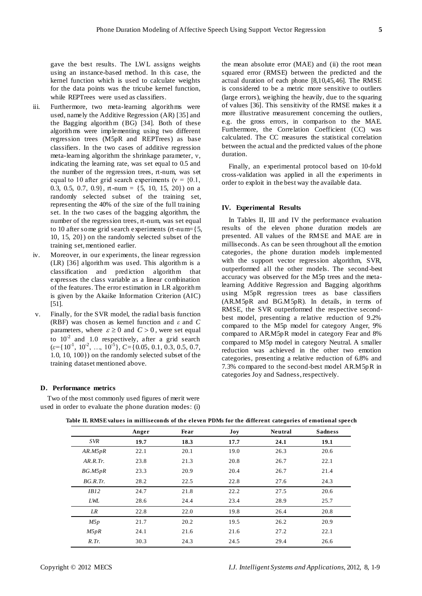gave the best results. The LW L assigns weights using an instance-based method. In this case, the kernel function which is used to calculate weights for the data points was the tricube kernel function, while REPTrees were used as classifiers.

- iii. Furthermore, two meta-learning algorithms were used, namely the Additive Regression (AR) [35] and the Bagging algorithm (BG) [34]. Both of these algorithms were implementing using two different regression trees (M5pR and REPTrees) as base classifiers. In the two cases of additive regression meta-learning algorithm the shrinkage parameter, ν, indicating the learning rate, was set equal to 0.5 and the number of the regression trees, rt-num, was set equal to 10 after grid search experiments ( $v = \{0.1,$ 0.3, 0.5, 0.7, 0.9}, rt-num =  $\{5, 10, 15, 20\}$  on a randomly selected subset of the training set, representing the 40% of the size of the full training set. In the two cases of the bagging algorithm, the number of the regression trees, rt-num, was set equal to 10 after some grid search experiments (rt-num= $\{5,$ 10, 15, 20}) on the randomly selected subset of the training set, mentioned earlier.
- iv. Moreover, in our experiments, the linear regression (LR) [36] algorithm was used. This algorithm is a classification and prediction algorithm that expresses the class variable as a linear combination of the features. The error estimation in LR algorithm is given by the Akaike Information Criterion (AIC) [51].
- v. Finally, for the SVR model, the radial basis function (RBF) was chosen as kernel function and *ε* and *C* parameters, where  $\varepsilon \ge 0$  and  $C > 0$ , were set equal to  $10^{-2}$  and 1.0 respectively, after a grid search  $(\varepsilon = \{10^{-1}, 10^{-2}, \ldots, 10^{-5}\}, C = \{0.05, 0.1, 0.3, 0.5, 0.7, \ldots\}$ 1.0, 10, 100}) on the randomly selected subset of the training dataset mentioned above.

the mean absolute error (MAE) and (ii) the root mean squared error (RMSE) between the predicted and the actual duration of each phone [8,10,45,46]. The RMSE is considered to be a metric more sensitive to outliers (large errors), weighing the heavily, due to the squaring of values [36]. This sensitivity of the RMSE makes it a more illustrative measurement concerning the outliers, e.g. the gross errors, in comparison to the MAE. Furthermore, the Correlation Coefficient (CC) was calculated. The CC measures the statistical correlation between the actual and the predicted values of the phone duration.

Finally, an experimental protocol based on 10-fold cross-validation was applied in all the experiments in order to exploit in the best way the available data.

## **IV. Experimental Results**

In Tables II, III and IV the performance evaluation results of the eleven phone duration models are presented. All values of the RMSE and MAE are in milliseconds. As can be seen throughout all the emotion categories, the phone duration models implemented with the support vector regression algorithm, SVR, outperformed all the other models. The second-best accuracy was observed for the M5p trees and the metalearning Additive Regression and Bagging algorithms using M5pR regression trees as base classifiers (AR.M5pR and BG.M5pR). In details, in terms of RMSE, the SVR outperformed the respective secondbest model, presenting a relative reduction of 9.2% compared to the M5p model for category Anger, 9% compared to AR.M5pR model in category Fear and 8% compared to M5p model in category Neutral. A smaller reduction was achieved in the other two emotion categories, presenting a relative reduction of 6.8% and 7.3% compared to the second-best model AR.M5pR in categories Joy and Sadness,respectively.

# **D**.**Performance metrics**

Two of the most commonly used figures of merit were used in order to evaluate the phone duration modes: (i)

|            | Anger | Fear | Joy  | <b>Neutral</b> | <b>Sadness</b> |
|------------|-------|------|------|----------------|----------------|
| <b>SVR</b> | 19.7  | 18.3 | 17.7 | 24.1           | 19.1           |
| AR.M5pR    | 22.1  | 20.1 | 19.0 | 26.3           | 20.6           |
| AR.R.Tr.   | 23.8  | 21.3 | 20.8 | 26.7           | 22.1           |
| BG.M5pR    | 23.3  | 20.9 | 20.4 | 26.7           | 21.4           |
| BG.R.Tr.   | 28.2  | 22.5 | 22.8 | 27.6           | 24.3           |
| IB12       | 24.7  | 21.8 | 22.2 | 27.5           | 20.6           |
| LWL        | 28.6  | 24.4 | 23.4 | 28.9           | 25.7           |
| LR         | 22.8  | 22.0 | 19.8 | 26.4           | 20.8           |
| M5p        | 21.7  | 20.2 | 19.5 | 26.2           | 20.9           |
| M5pR       | 24.1  | 21.6 | 21.6 | 27.2           | 22.1           |
| $R$ . Tr.  | 30.3  | 24.3 | 24.5 | 29.4           | 26.6           |

**Table II. RMSE values in milliseconds of the eleven PDMs for the different categories of emotional speech**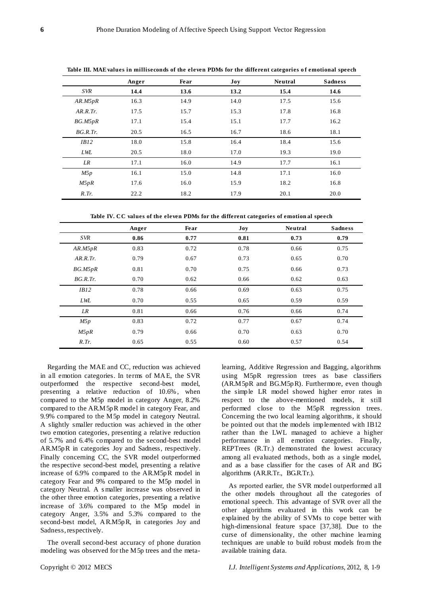| <b>Sadness</b> |
|----------------|
|                |
| 14.6           |
| 15.6           |
| 16.8           |
| 16.2           |
| 18.1           |
| 15.6           |
| 19.0           |
| 16.1           |
| 16.0           |
| 16.8           |
| 20.0           |
|                |

**Table III. MAE values in milliseconds of the eleven PDMs for the different categories o f emotional speech**

**Table IV. CC values of the eleven PDMs for the different categories of emotion al speech**

|              | Anger | Fear | $\bf{Joy}$ | <b>Neutral</b> | <b>Sadness</b> |
|--------------|-------|------|------------|----------------|----------------|
| <b>SVR</b>   | 0.86  | 0.77 | 0.81       | 0.73           | 0.79           |
| AR.M5pR      | 0.83  | 0.72 | 0.78       | 0.66           | 0.75           |
| AR.R.Tr.     | 0.79  | 0.67 | 0.73       | 0.65           | 0.70           |
| BG.M5pR      | 0.81  | 0.70 | 0.75       | 0.66           | 0.73           |
| BG.R.Tr.     | 0.70  | 0.62 | 0.66       | 0.62           | 0.63           |
| IB12         | 0.78  | 0.66 | 0.69       | 0.63           | 0.75           |
| LWL          | 0.70  | 0.55 | 0.65       | 0.59           | 0.59           |
| LR           | 0.81  | 0.66 | 0.76       | 0.66           | 0.74           |
| M5p          | 0.83  | 0.72 | 0.77       | 0.67           | 0.74           |
| M5pR         | 0.79  | 0.66 | 0.70       | 0.63           | 0.70           |
| $R$ . $Tr$ . | 0.65  | 0.55 | 0.60       | 0.57           | 0.54           |

Regarding the MAE and CC, reduction was achieved in all emotion categories. In terms of MAE, the SVR outperformed the respective second-best model, presenting a relative reduction of 10.6% , when compared to the M5p model in category Anger, 8.2% compared to the AR.M5pR model in category Fear, and 9.9% compared to the M5p model in category Neutral. A slightly smaller reduction was achieved in the other two emotion categories, presenting a relative reduction of 5.7% and 6.4% compared to the second-best model AR.M5pR in categories Joy and Sadness, respectively. Finally concerning CC, the SVR model outperformed the respective second-best model, presenting a relative increase of 6.9% compared to the AR.M5pR model in category Fear and 9% compared to the M5p model in category Neutral. A s maller increase was observed in the other three emotion categories, presenting a relative increase of 3.6% compared to the M5p model in category Anger, 3.5% and 5.3% compared to the second-best model, AR.M5pR, in categories Joy and Sadness, respectively.

The overall second-best accuracy of phone duration modeling was observed for the M5p trees and the metalearning, Additive Regression and Bagging, algorithms using M5pR regression trees as base classifiers (AR.M5pR and BG.M5pR). Furthermore, even though the simple LR model showed higher error rates in respect to the above-mentioned models, it still performed close to the M5pR regression trees. Concerning the two local learning algorithms, it should be pointed out that the models implemented with IB12 rather than the LWL managed to achieve a higher performance in all emotion categories. Finally, REPTrees (R.Tr.) demonstrated the lowest accuracy among all evaluated methods, both as a single model, and as a base classifier for the cases of AR and BG algorithms (AR.R.Tr., BG.R.Tr.).

As reported earlier, the SVR model outperformed all the other models throughout all the categories of emotional speech. This advantage of SVR over all the other algorithms evaluated in this work can be explained by the ability of SVMs to cope better with high-dimensional feature space [37,38]. Due to the curse of dimensionality, the other machine learning techniques are unable to build robust models from the available training data.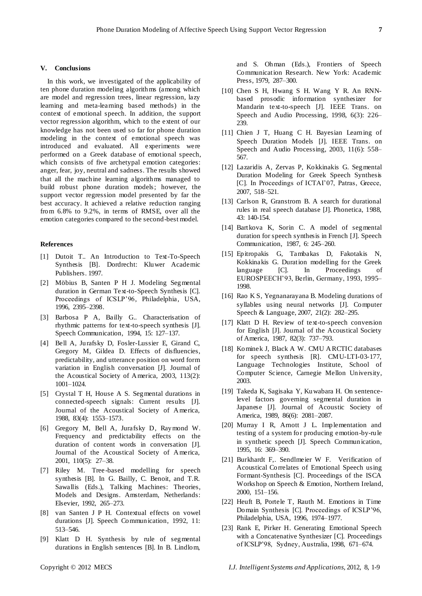## **V. Conclusions**

In this work, we investigated of the applicability of ten phone duration modeling algorithms (among which are model and regression trees, linear regression, lazy learning and meta-learning based methods) in the context of emotional speech. In addition, the support vector regression algorithm, which to the extent of our knowledge has not been used so far for phone duration modeling in the context of emotional speech was introduced and evaluated. All experiments were performed on a Greek database of emotional speech, which consists of five archetypal emotion categories: anger, fear, joy, neutral and sadness. The results showed that all the machine learning algorithms managed to build robust phone duration models; however, the support vector regression model presented by far the best accuracy. It achieved a relative reduction ranging from 6.8% to 9.2%, in terms of RMSE, over all the emotion categories compared to the second-best model.

## **References**

- [1] Dutoit T.. An Introduction to Text-To-Speech Synthesis [B]. Dordrecht: Kluwer Academic Publishers. 1997.
- [2] Möbius B, Santen P H J. Modeling Segmental duration in German Text-to-Speech Synthesis [C]. Proceedings of ICSLP'96, Philadelphia, USA, 1996, 2395–2398.
- [3] Barbosa P A, Bailly G.. Characterisation of rhythmic patterns for text-to-speech synthesis [J]. Speech Communication, 1994, 15: 127–137.
- [4] Bell A, Jurafsky D, Fosler-Lussier E, Girand C, Gregory M, Gildea D. Effects of disfluencies, predictability, and utterance position on word form variation in English conversation [J]. Journal of the Acoustical Society of America, 2003, 113(2): 1001–1024.
- [5] Crystal T H, House A S. Segmental durations in connected-speech signals: Current results [J]. Journal of the Acoustical Society of America, 1988, 83(4): 1553–1573.
- [6] Gregory M, Bell A, Jurafsky D, Raymond W. Frequency and predictability effects on the duration of content words in conversation [J]. Journal of the Acoustical Society of America, 2001, 110(5): 27–38.
- [7] Riley M. Tree -based modelling for speech synthesis [B]. In G. Bailly, C. Benoit, and T.R. Sawallis (Eds.), Talking Machines: Theories, Models and Designs. Amsterdam, Netherlands: Elsevier, 1992, 265–273.
- [8] van Santen J P H. Contextual effects on vowel durations [J]. Speech Communication, 1992, 11: 513–546.
- [9] Klatt D H. Synthesis by rule of segmental durations in English sentences [B]. In B. Lindlom,

and S. Ohman (Eds.), Frontiers of Speech Communication Research. New York: Academic Press, 1979, 287–300.

- [10] Chen S H, Hwang S H. Wang Y R. An RNNbased prosodic information synthesizer for Mandarin text-to-speech [J]. IEEE Trans. on Speech and Audio Processing, 1998, 6(3): 226– 239.
- [11] Chien J T, Huang C H. Bayesian Learning of Speech Duration Models [J]. IEEE Trans. on Speech and Audio Processing, 2003, 11(6): 558– 567.
- [12] Lazaridis A, Zervas P, Kokkinakis G. Segmental Duration Modeling for Greek Speech Synthesis [C]. In Proceedings of ICTAI'07, Patras, Greece, 2007, 518–521.
- [13] Carlson R, Granstrom B. A search for durational rules in real speech database [J]. Phonetica, 1988, 43: 140-154.
- [14] Bartkova K, Sorin C. A model of segmental duration for speech synthesis in French [J]. Speech Communication, 1987, 6: 245–260.
- [15] Epitropakis G, Tambakas D, Fakotakis N, Kokkinakis G. Duration modelling for the Greek language [C]. In Proceedings of EUROSPEECH'93, Berlin, Germany, 1993, 1995– 1998.
- [16] Rao [K](http://www.informatik.uni-trier.de/~ley/db/indices/a-tree/r/Rao:K=_Sreenivasa.html) S, Yegnanarayana B. Modeling durations of syllables using neural networks [J]. Computer Speech & Language, 2007, 21(2): 282–295.
- [17] Klatt D H. Review of text-to-speech conversion for English [J]. Journal of the Acoustical Society of America, 1987, 82(3): 737–793.
- [18] Kominek J, Black A W. CMU ARCTIC databases for speech synthesis [R]. CMU-LTI-03-177, Language Technologies Institute, School of Computer Science, Carnegie Mellon University, 2003.
- [19] Takeda K, Sagisaka Y, Kuwabara H. On sentencelevel factors governing segmental duration in Japanese [J]. Journal of Acoustic Society of America, 1989, 86(6): 2081–2087.
- [20] Murray I R, Arnott J L. Implementation and testing of a system for producing emotion-by-rule in synthetic speech [J]. Speech Communication, 1995, 16: 369–390.
- [21] Burkhardt F,. Sendlmeier W F. Verification of Acoustical Correlates of Emotional Speech using Formant-Synthesis [C]. Proceedings of the ISCA Workshop on Speech & Emotion, Northern Ireland, 2000, 151–156.
- [22] Heuft B, Portele T, Rauth M. Emotions in Time Domain Synthesis [C]. Proceedings of ICSLP'96, Philadelphia, USA, 1996, 1974–1977.
- [23] Rank E, Pirker H. Generating Emotional Speech with a Concatenative Synthesizer [C]. Proceedings of ICSLP'98, Sydney, Australia, 1998, 671–674.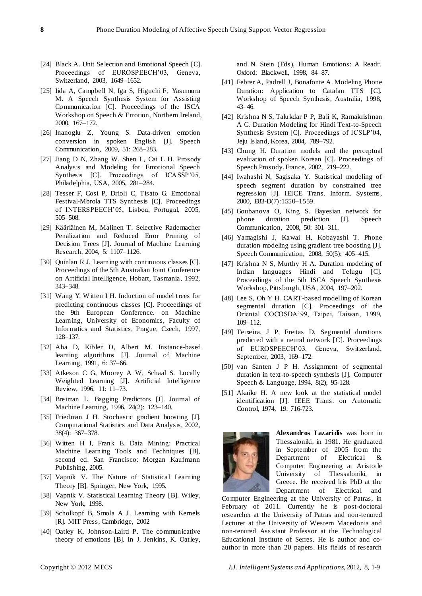- [24] Black A. Unit Selection and Emotional Speech [C]. Proceedings of EUROSPEECH'03, Geneva, Switzerland, 2003, 1649–1652.
- [25] Iida A, Campbell N, Iga S, Higuchi F, Yasumura M. A Speech Synthesis System for Assisting Communication [C]. Proceedings of the ISCA Workshop on Speech & Emotion, Northern Ireland, 2000, 167–172.
- [26] Inanoglu Z, Young S. Data-driven emotion conversion in spoken English [J]. Speech Communication, 2009, 51: 268–283.
- [27] Jiang D N, Zhang W, Shen L, Cai L H. Prosody Analysis and Modeling for Emotional Speech Synthesis [C]. Proceedings of ICASSP'05, Philadelphia, USA, 2005, 281–284.
- [28] Tesser F, Cosi P, Drioli C, Tisato G. Emotional Festival-Mbrola TTS Synthesis [C]. Proceedings of INTERSPEECH'05, Lisboa, Portugal, 2005, 505–508.
- [29] Kääriäinen M, Malinen T. Selective Rademacher Penalization and Reduced Error Pruning of Decision Trees [J]. Journal of Machine Learning Research, 2004, 5: 1107–1126.
- [30] Quinlan R J. Learning with continuous classes [C]. Proceedings of the 5th Australian Joint Conference on Artificial Intelligence, Hobart, Tasmania, 1992, 343–348.
- [31] Wang Y, Witten I H. Induction of model trees for predicting continuous classes [C]. Proceedings of the 9th European Conference. on Machine Learning, University of Economics, Faculty of Informatics and Statistics, Prague, Czech, 1997, 128–137.
- [32] Aha D, Kibler D, Albert M. Instance-based learning algorithms [J]. Journal of Machine Learning, 1991, 6: 37–66.
- [33] Atkeson C G, Moorey A W, Schaal S. Locally Weighted Learning [J]. Artificial Intelligence Review, 1996, 11: 11–73.
- [34] Breiman L. Bagging Predictors [J]. Journal of Machine Learning, 1996, 24(2): 123–140.
- [35] Friedman J H. Stochastic gradient boosting [J]. Computational Statistics and Data Analysis, 2002, 38(4): 367–378.
- [36] Witten H I, Frank E. Data Mining: Practical Machine Learning Tools and Techniques [B], second ed. San Francisco: Morgan Kaufmann Publishing, 2005.
- [37] Vapnik V. The Nature of Statistical Learning Theory [B]. Springer, New York, 1995.
- [38] Vapnik V. Statistical Learning Theory [B]. Wiley, New York, 1998.
- [39] Scholkopf B, Smola A J. [Learning with Kernels](http://www.learning-with-kernels.org/) [R]. MIT Press, Cambridge, 2002
- [40] Oatley K, Johnson-Laird P. The communicative theory of emotions [B]. In J. Jenkins, K. Oatley,

and N. Stein (Eds), Human Emotions: A Readr. Oxford: Blackwell, 1998, 84–87.

- [41] Febrer A, Padrell J, Bonafonte A. Modeling Phone Duration: Application to Catalan TTS [C]. Workshop of Speech Synthesis, Australia, 1998, 43–46.
- [42] Krishna N S, Talukdar P P, Bali K, Ramakrishnan A G. Duration Modeling for Hindi Text-to-Speech Synthesis System [C]. Proceedings of ICSLP'04, Jeju Island, Korea, 2004, 789–792.
- [43] Chung H. Duration models and the perceptual evaluation of spoken Korean [C]. Proceedings of Speech Prosody, France, 2002, 219–222.
- [44] Iwahashi N, Sagisaka Y. Statistical modeling of speech segment duration by constrained tree regression [J]. IEICE Trans. Inform. Systems, 2000, E83-D(7):1550–1559.
- [45] Goubanova O, King S. Bayesian network for phone duration prediction [J]. Speech Communication, 2008, 50: 301–311.
- [46] Yamagishi J, Kawai H, Kobayashi T. Phone duration modeling using gradient tree boosting [J]. Speech Communication, 2008, 50(5): 405–415.
- [47] Krishna N S, Murthy H A. Duration modeling of Indian languages Hindi and Telugu [C]. Proceedings of the 5th ISCA Speech Synthesis Workshop, Pittsburgh, USA, 2004, 197–202.
- [48] Lee S, Oh Y H. CART-based modelling of Korean segmental duration [C]. Proceedings of the Oriental COCOSDA'99, Taipei, Taiwan, 1999, 109–112.
- [49] Teixeira, J P, Freitas D. Segmental durations predicted with a neural network [C]. Proceedings of EUROSPEECH'03, Geneva, Switzerland, September, 2003, 169–172.
- [50] van Santen J P H. Assignment of segmental duration in text-to-speech synthesis [J]. Computer Speech & Language, 1994, 8(2), 95-128.
- [51] Akaike H. A new look at the statistical model identification [J]. IEEE Trans. on Automatic Control, 1974, 19: 716-723.



**Alexandros Lazaridis** was born in Thessaloniki, in 1981. He graduated in September of 2005 from the Department of Electrical & Computer Engineering at Aristotle University of Thessaloniki, in Greece. He received his PhD at the Department of Electrical and

Computer Engineering at the University of Patras, in February of 2011. Currently he is post-doctoral researcher at the University of Patras and non-tenured Lecturer at the University of Western Macedonia and non-tenured Assistant Professor at the Technological Educational Institute of Serres. He is author and coauthor in more than 20 papers. His fields of research